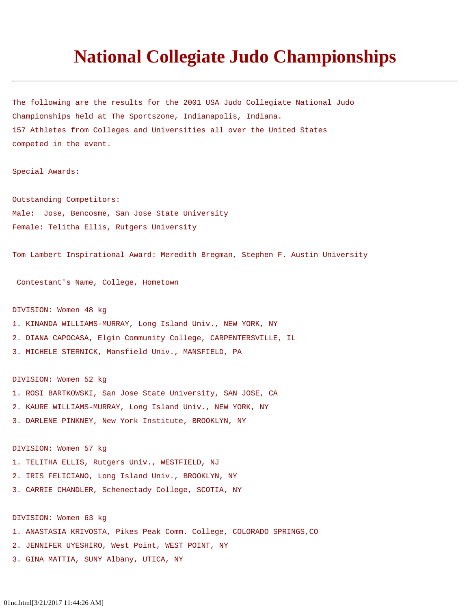# **National Collegiate Judo Championships**

The following are the results for the 2001 USA Judo Collegiate National Judo Championships held at The Sportszone, Indianapolis, Indiana. 157 Athletes from Colleges and Universities all over the United States competed in the event.

Special Awards:

Outstanding Competitors: Male: Jose, Bencosme, San Jose State University Female: Telitha Ellis, Rutgers University

Tom Lambert Inspirational Award: Meredith Bregman, Stephen F. Austin University

Contestant's Name, College, Hometown

#### DIVISION: Women 48 kg

- 1. KINANDA WILLIAMS-MURRAY, Long Island Univ., NEW YORK, NY
- 2. DIANA CAPOCASA, Elgin Community College, CARPENTERSVILLE, IL
- 3. MICHELE STERNICK, Mansfield Univ., MANSFIELD, PA

DIVISION: Women 52 kg

- 1. ROSI BARTKOWSKI, San Jose State University, SAN JOSE, CA
- 2. KAURE WILLIAMS-MURRAY, Long Island Univ., NEW YORK, NY
- 3. DARLENE PINKNEY, New York Institute, BROOKLYN, NY

DIVISION: Women 57 kg

- 1. TELITHA ELLIS, Rutgers Univ., WESTFIELD, NJ
- 2. IRIS FELICIANO, Long Island Univ., BROOKLYN, NY
- 3. CARRIE CHANDLER, Schenectady College, SCOTIA, NY

DIVISION: Women 63 kg

- 1. ANASTASIA KRIVOSTA, Pikes Peak Comm. College, COLORADO SPRINGS,CO
- 2. JENNIFER UYESHIRO, West Point, WEST POINT, NY
- 3. GINA MATTIA, SUNY Albany, UTICA, NY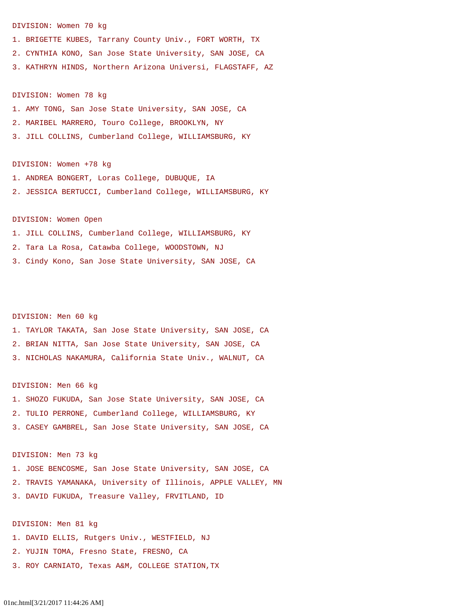#### DIVISION: Women 70 kg

1. BRIGETTE KUBES, Tarrany County Univ., FORT WORTH, TX

2. CYNTHIA KONO, San Jose State University, SAN JOSE, CA

3. KATHRYN HINDS, Northern Arizona Universi, FLAGSTAFF, AZ

#### DIVISION: Women 78 kg

1. AMY TONG, San Jose State University, SAN JOSE, CA

- 2. MARIBEL MARRERO, Touro College, BROOKLYN, NY
- 3. JILL COLLINS, Cumberland College, WILLIAMSBURG, KY

#### DIVISION: Women +78 kg

1. ANDREA BONGERT, Loras College, DUBUQUE, IA

2. JESSICA BERTUCCI, Cumberland College, WILLIAMSBURG, KY

## DIVISION: Women Open

1. JILL COLLINS, Cumberland College, WILLIAMSBURG, KY 2. Tara La Rosa, Catawba College, WOODSTOWN, NJ 3. Cindy Kono, San Jose State University, SAN JOSE, CA

#### DIVISION: Men 60 kg

1. TAYLOR TAKATA, San Jose State University, SAN JOSE, CA 2. BRIAN NITTA, San Jose State University, SAN JOSE, CA 3. NICHOLAS NAKAMURA, California State Univ., WALNUT, CA

#### DIVISION: Men 66 kg

1. SHOZO FUKUDA, San Jose State University, SAN JOSE, CA 2. TULIO PERRONE, Cumberland College, WILLIAMSBURG, KY 3. CASEY GAMBREL, San Jose State University, SAN JOSE, CA

#### DIVISION: Men 73 kg

1. JOSE BENCOSME, San Jose State University, SAN JOSE, CA 2. TRAVIS YAMANAKA, University of Illinois, APPLE VALLEY, MN 3. DAVID FUKUDA, Treasure Valley, FRVITLAND, ID

## DIVISION: Men 81 kg

- 1. DAVID ELLIS, Rutgers Univ., WESTFIELD, NJ
- 2. YUJIN TOMA, Fresno State, FRESNO, CA
- 3. ROY CARNIATO, Texas A&M, COLLEGE STATION,TX

## 01nc.html[3/21/2017 11:44:26 AM]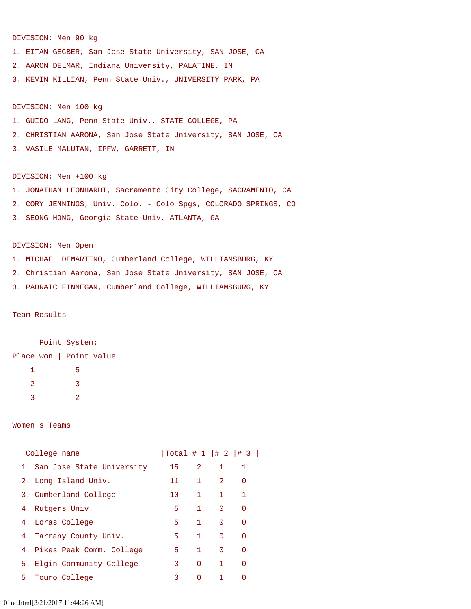## DIVISION: Men 90 kg

1. EITAN GECBER, San Jose State University, SAN JOSE, CA 2. AARON DELMAR, Indiana University, PALATINE, IN 3. KEVIN KILLIAN, Penn State Univ., UNIVERSITY PARK, PA

### DIVISION: Men 100 kg

- 1. GUIDO LANG, Penn State Univ., STATE COLLEGE, PA
- 2. CHRISTIAN AARONA, San Jose State University, SAN JOSE, CA
- 3. VASILE MALUTAN, IPFW, GARRETT, IN

## DIVISION: Men +100 kg

1. JONATHAN LEONHARDT, Sacramento City College, SACRAMENTO, CA 2. CORY JENNINGS, Univ. Colo. - Colo Spgs, COLORADO SPRINGS, CO 3. SEONG HONG, Georgia State Univ, ATLANTA, GA

## DIVISION: Men Open

- 1. MICHAEL DEMARTINO, Cumberland College, WILLIAMSBURG, KY
- 2. Christian Aarona, San Jose State University, SAN JOSE, CA
- 3. PADRAIC FINNEGAN, Cumberland College, WILLIAMSBURG, KY

#### Team Results

 Point System: Place won | Point Value 1 5 2 3 3 2

#### Women's Teams

| College name                 |                 |              |              | $ Total $ $\# 1  $ $\# 2  $ $\# 3  $ |
|------------------------------|-----------------|--------------|--------------|--------------------------------------|
| 1. San Jose State University | 15              | 2            | 1            | 1                                    |
| 2. Long Island Univ.         | 11              | $\mathbf{1}$ | 2            | $\Omega$                             |
| 3. Cumberland College        | 10 <sup>1</sup> | $\mathbf{1}$ | $\mathbf{1}$ | $\mathbf{1}$                         |
| 4. Rutgers Univ.             | 5               | $\mathbf{1}$ | $\Omega$     | $\Omega$                             |
| 4. Loras College             | 5               | $\mathbf{1}$ | $\Omega$     | $\Omega$                             |
| 4. Tarrany County Univ.      | 5               | $\mathbf{1}$ | $\Omega$     | $\Omega$                             |
| 4. Pikes Peak Comm. College  | 5               | $\mathbf{1}$ | $\Omega$     | $\Omega$                             |
| 5. Elgin Community College   | 3               | $\Omega$     | $\mathbf{1}$ | $\Omega$                             |
| 5. Touro College             | 3               | $\Omega$     | 1            | $\Omega$                             |

#### 01nc.html[3/21/2017 11:44:26 AM]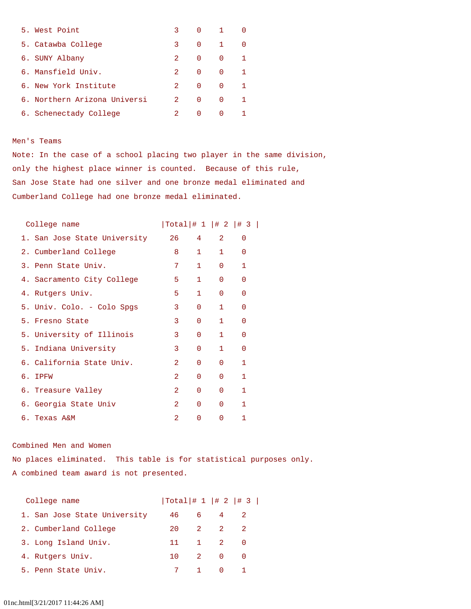| 5. West Point                | 3.          | 0        |              |   |
|------------------------------|-------------|----------|--------------|---|
| 5. Catawba College           | 3           | $\Omega$ | $\mathbf{1}$ | ∩ |
| 6. SUNY Albany               | 2.          | $\Omega$ | $\Omega$     |   |
| 6. Mansfield Univ.           | 2.          | $\Omega$ | $\Omega$     |   |
| 6. New York Institute        | $2^{\circ}$ | $\Omega$ | $\Omega$     |   |
| 6. Northern Arizona Universi | $2^{\circ}$ | $\Omega$ | $\Omega$     |   |
| 6. Schenectady College       | 2.          | $\Omega$ | $\Omega$     |   |

## Men's Teams

Note: In the case of a school placing two player in the same division, only the highest place winner is counted. Because of this rule, San Jose State had one silver and one bronze medal eliminated and Cumberland College had one bronze medal eliminated.

| College name                 | $ Total $ $\# 1  $ $\# 2  $ $\# 3  $ |              |              |          |  |
|------------------------------|--------------------------------------|--------------|--------------|----------|--|
| 1. San Jose State University | 26                                   | 4            | 2            | $\Omega$ |  |
| 2. Cumberland College        | 8                                    | $\mathbf{1}$ | $\mathbf{1}$ | $\Omega$ |  |
| 3. Penn State Univ.          | 7                                    | $\mathbf{1}$ | $\Omega$     | 1        |  |
| 4. Sacramento City College   | 5.                                   | $\mathbf{1}$ | $\Omega$     | $\Omega$ |  |
| 4. Rutgers Univ.             | 5.                                   | $\mathbf{1}$ | $\Omega$     | $\Omega$ |  |
| 5. Univ. Colo. - Colo Spgs   | 3                                    | $\Omega$     | 1            | $\Omega$ |  |
| 5. Fresno State              | 3                                    | $\Omega$     | $\mathbf{1}$ | $\Omega$ |  |
| 5. University of Illinois    | 3                                    | $\Omega$     | 1            | $\Omega$ |  |
| 5. Indiana University        | 3                                    | $\Omega$     | 1            | $\Omega$ |  |
| 6. California State Univ.    | 2                                    | $\Omega$     | $\Omega$     | 1        |  |
| 6. IPFW                      | $\mathfrak{D}$                       | $\Omega$     | $\Omega$     | 1        |  |
| 6. Treasure Valley           | 2                                    | $\mathbf{0}$ | $\Omega$     | 1        |  |
| 6. Georgia State Univ        | $\mathcal{D}_{\mathcal{L}}$          | $\Omega$     | $\Omega$     | 1        |  |
| 6. Texas A&M                 | 2                                    | 0            | $\Omega$     | 1        |  |
|                              |                                      |              |              |          |  |

## Combined Men and Women

No places eliminated. This table is for statistical purposes only. A combined team award is not presented.

| College name                 |      |     |                                     | $ Total $ # 1   # 2   # 3 |
|------------------------------|------|-----|-------------------------------------|---------------------------|
| 1. San Jose State University | 46   | 6 - | $\sim$ 4                            |                           |
| 2. Cumberland College        | 20 L |     | 2 2 2                               |                           |
| 3. Long Island Univ.         | 11   |     | 1 2 0                               |                           |
| 4. Rutgers Univ.             |      |     | 10 2 0 0                            |                           |
| 5. Penn State Univ.          |      | 7 1 | $\begin{matrix} 0 & 1 \end{matrix}$ |                           |